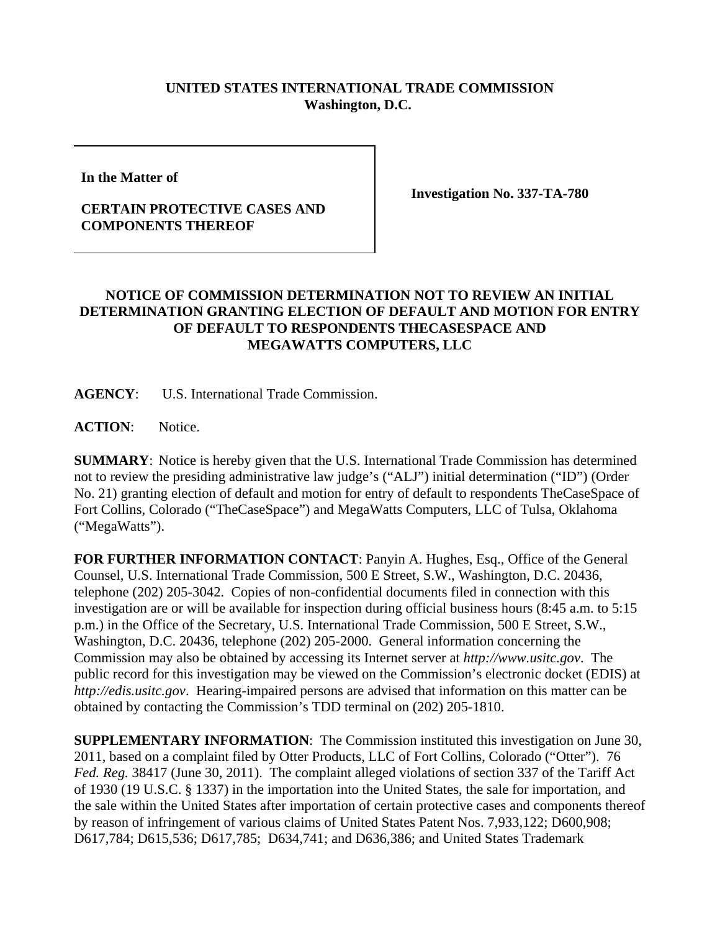## **UNITED STATES INTERNATIONAL TRADE COMMISSION Washington, D.C.**

**In the Matter of** 

## **CERTAIN PROTECTIVE CASES AND COMPONENTS THEREOF**

**Investigation No. 337-TA-780**

## **NOTICE OF COMMISSION DETERMINATION NOT TO REVIEW AN INITIAL DETERMINATION GRANTING ELECTION OF DEFAULT AND MOTION FOR ENTRY OF DEFAULT TO RESPONDENTS THECASESPACE AND MEGAWATTS COMPUTERS, LLC**

**AGENCY**: U.S. International Trade Commission.

**ACTION**: Notice.

**SUMMARY**: Notice is hereby given that the U.S. International Trade Commission has determined not to review the presiding administrative law judge's ("ALJ") initial determination ("ID") (Order No. 21) granting election of default and motion for entry of default to respondents TheCaseSpace of Fort Collins, Colorado ("TheCaseSpace") and MegaWatts Computers, LLC of Tulsa, Oklahoma ("MegaWatts").

**FOR FURTHER INFORMATION CONTACT**: Panyin A. Hughes, Esq., Office of the General Counsel, U.S. International Trade Commission, 500 E Street, S.W., Washington, D.C. 20436, telephone (202) 205-3042. Copies of non-confidential documents filed in connection with this investigation are or will be available for inspection during official business hours (8:45 a.m. to 5:15 p.m.) in the Office of the Secretary, U.S. International Trade Commission, 500 E Street, S.W., Washington, D.C. 20436, telephone (202) 205-2000. General information concerning the Commission may also be obtained by accessing its Internet server at *http://www.usitc.gov*. The public record for this investigation may be viewed on the Commission's electronic docket (EDIS) at *http://edis.usitc.gov*. Hearing-impaired persons are advised that information on this matter can be obtained by contacting the Commission's TDD terminal on (202) 205-1810.

**SUPPLEMENTARY INFORMATION**: The Commission instituted this investigation on June 30, 2011, based on a complaint filed by Otter Products, LLC of Fort Collins, Colorado ("Otter"). 76 *Fed. Reg.* 38417 (June 30, 2011). The complaint alleged violations of section 337 of the Tariff Act of 1930 (19 U.S.C. § 1337) in the importation into the United States, the sale for importation, and the sale within the United States after importation of certain protective cases and components thereof by reason of infringement of various claims of United States Patent Nos. 7,933,122; D600,908; D617,784; D615,536; D617,785; D634,741; and D636,386; and United States Trademark